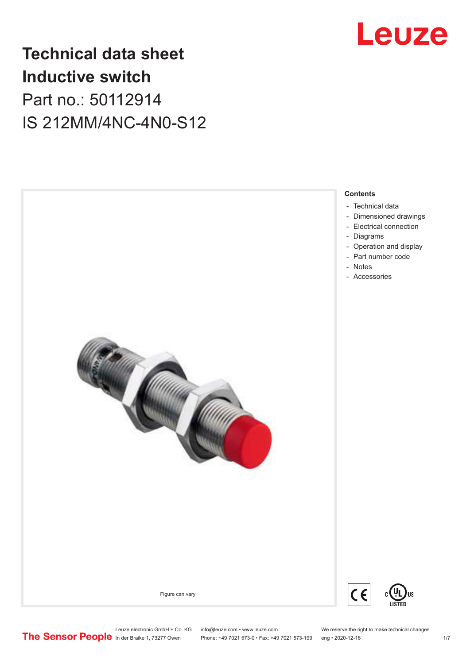

## **Technical data sheet Inductive switch** Part no.: 50112914 IS 212MM/4NC-4N0-S12



Leuze electronic GmbH + Co. KG info@leuze.com • www.leuze.com We reserve the right to make technical changes<br> **The Sensor People** in der Braike 1, 73277 Owen Phone: +49 7021 573-0 • Fax: +49 7021 573-199 eng • 2020-12-16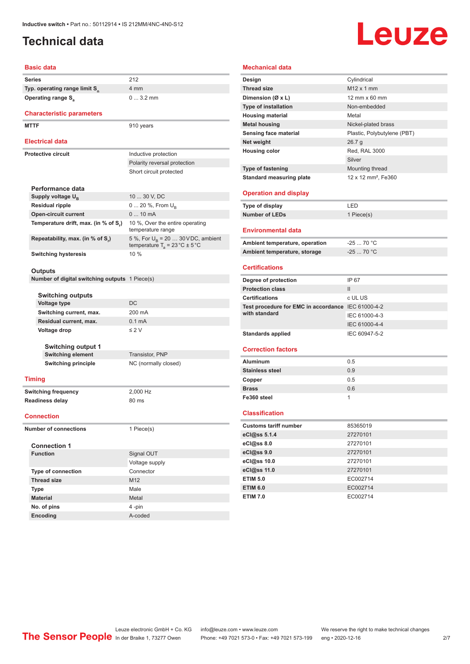## <span id="page-1-0"></span>**Technical data**

# Leuze

#### **Basic data Series** 212 **Typ. operating range limit S<sup>n</sup> Operating range S<sub>a</sub>**

#### **Characteristic parameters**

**MTTF** 910 years

#### **Electrical data**

| Electrical data                      |                                                                                           |
|--------------------------------------|-------------------------------------------------------------------------------------------|
| Protective circuit                   | Inductive protection                                                                      |
|                                      | Polarity reversal protection                                                              |
|                                      | Short circuit protected                                                                   |
| Performance data                     |                                                                                           |
| Supply voltage U <sub>B</sub>        | 10  30 V, DC                                                                              |
| <b>Residual ripple</b>               | 0  20 %, From $U_{\rm B}$                                                                 |
| <b>Open-circuit current</b>          | $010$ mA                                                                                  |
| Temperature drift, max. (in % of S.) | 10 %, Over the entire operating<br>temperature range                                      |
| Repeatability, max. (in % of S.)     | 5 %, For $U_R$ = 20  30 V DC, ambient<br>temperature $T_a = 23 \degree C \pm 5 \degree C$ |
| <b>Switching hysteresis</b>          | 10%                                                                                       |

4 mm

0 ... 3.2 mm

#### **Outputs**

**Number of digital switching outputs** 1 Piece(s)

#### **Switching outputs**

| <b>OWILCHING</b> UULPULO  |                  |
|---------------------------|------------------|
| <b>Voltage type</b>       | DC.              |
| Switching current, max.   | 200 mA           |
| Residual current, max.    | $0.1 \text{ mA}$ |
| Voltage drop              | $\leq$ 2 V       |
| <b>Switching output 1</b> |                  |
|                           |                  |

**Switching element** Transistor, PNP **Switching principle** NC (normally closed)

#### **Timing**

**Switching frequency** 2,000 Hz **Readiness delay** 80 ms

#### **Connection**

**Number of connections** 1 Piece(s)

| <b>Connection 1</b>       |                 |
|---------------------------|-----------------|
| <b>Function</b>           | Signal OUT      |
|                           | Voltage supply  |
| <b>Type of connection</b> | Connector       |
| <b>Thread size</b>        | M <sub>12</sub> |
| <b>Type</b>               | Male            |
| <b>Material</b>           | Metal           |
| No. of pins               | 4-pin           |
| <b>Encoding</b>           | A-coded         |

#### **Mechanical data Design** Cylindrical **Thread size** M12 x 1 mm **Dimension (Ø x L)** 12 mm x 60 mm **Type of installation** Non-embedded **Housing material Metal Metal housing** Nickel-plated brass **Sensing face material** Plastic, Polybutylene (PBT) **Net weight** 26.7 g **Housing color** Red, RAL 3000 Silver **Type of fastening** Mounting thread **Standard measuring plate** 12 x 12 mm<sup>2</sup>, Fe360 **Operation and display Type of display** LED **Number of LEDs** 1 Piece(s) **Environmental data** Ambient temperature, operation **-25** ... 70 °C **Ambient temperature, storage** -25 ... 70 °C **Certifications Degree of protection** IP 67 **Protection class** III **Certifications** c UL US **Test procedure for EMC in accordance**  IEC 61000-4-2 **with standard** IEC 61000-4-3 IEC 61000-4-4

## **Correction factors**

| <b>Aluminum</b>        | 0.5 |
|------------------------|-----|
| <b>Stainless steel</b> | 0.9 |
| Copper                 | 0.5 |
| <b>Brass</b>           | 0.6 |
| Fe360 steel            |     |

Standards applied **IEC 60947-5-2** 

#### **Classification**

| <b>Customs tariff number</b> | 85365019 |
|------------------------------|----------|
| eCl@ss 5.1.4                 | 27270101 |
| $eC/\omega$ ss 8.0           | 27270101 |
| eCl@ss 9.0                   | 27270101 |
| eCl@ss 10.0                  | 27270101 |
| eCl@ss 11.0                  | 27270101 |
| <b>ETIM 5.0</b>              | EC002714 |
| <b>ETIM 6.0</b>              | EC002714 |
| <b>ETIM 7.0</b>              | EC002714 |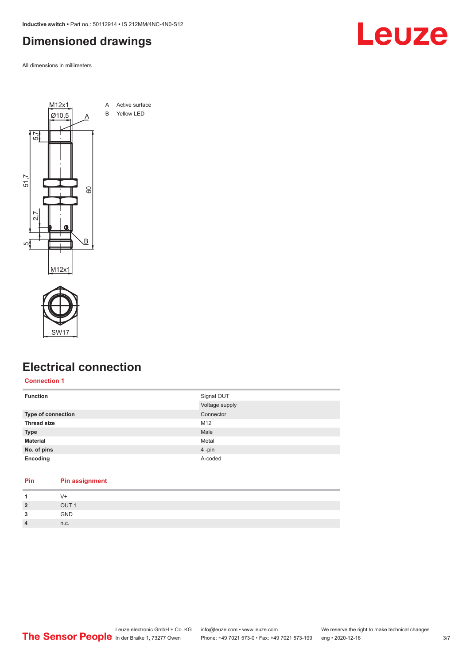<span id="page-2-0"></span>**Inductive switch •** Part no.: 50112914 **•** IS 212MM/4NC-4N0-S12

## **Dimensioned drawings**

All dimensions in millimeters





**Pin Pin assignment**

## **Electrical connection**

**Connection 1**

| <b>Function</b>           | Signal OUT     |
|---------------------------|----------------|
|                           | Voltage supply |
| <b>Type of connection</b> | Connector      |
| <b>Thread size</b>        | M12            |
| <b>Type</b>               | Male           |
| <b>Material</b>           | Metal          |
| No. of pins               | 4-pin          |
| Encoding                  | A-coded        |
|                           |                |

|                | V+               |
|----------------|------------------|
| $\overline{2}$ | OUT <sub>1</sub> |
| 3              | GND              |
| $\overline{4}$ | n.c.             |
|                |                  |

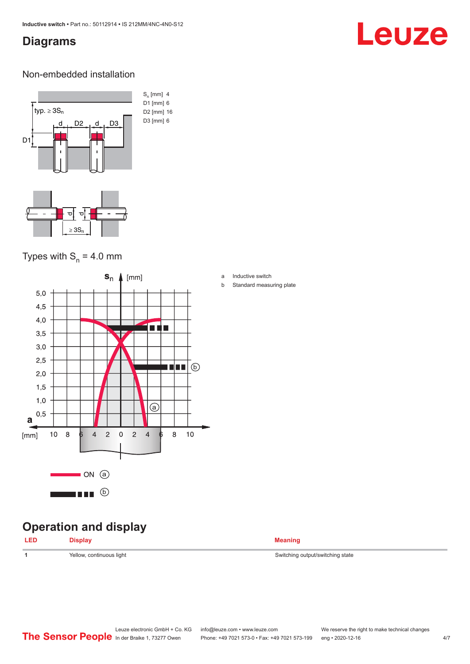## <span id="page-3-0"></span>**Diagrams**

## Leuze

#### Non-embedded installation



### Types with  $S_n = 4.0$  mm



## **Operation and display**

| LED | <b>Display</b>           | <b>Meaning</b>                   |
|-----|--------------------------|----------------------------------|
|     | Yellow, continuous light | Switching output/switching state |

- a Inductive switch
- b Standard measuring plate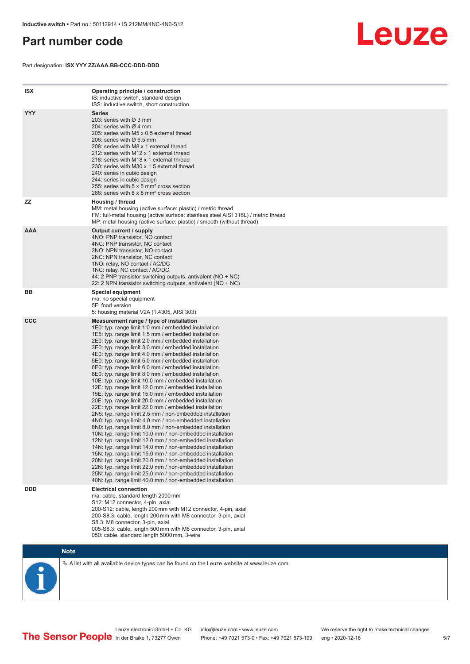## <span id="page-4-0"></span>**Part number code**

Part designation: **ISX YYY ZZ/AAA.BB-CCC-DDD-DDD**



| <b>ISX</b> | Operating principle / construction<br>IS: inductive switch, standard design<br>ISS: inductive switch, short construction                                                                                                                                                                                                                                                                                                                                                                                                                                                                                                                                                                                                                                                                                                                                                                                                                                                                                                                                                                                                                                                                                                                                                                                                                                                                                                                                                                          |
|------------|---------------------------------------------------------------------------------------------------------------------------------------------------------------------------------------------------------------------------------------------------------------------------------------------------------------------------------------------------------------------------------------------------------------------------------------------------------------------------------------------------------------------------------------------------------------------------------------------------------------------------------------------------------------------------------------------------------------------------------------------------------------------------------------------------------------------------------------------------------------------------------------------------------------------------------------------------------------------------------------------------------------------------------------------------------------------------------------------------------------------------------------------------------------------------------------------------------------------------------------------------------------------------------------------------------------------------------------------------------------------------------------------------------------------------------------------------------------------------------------------------|
| <b>YYY</b> | <b>Series</b><br>203: series with Ø 3 mm<br>204: series with $\varnothing$ 4 mm<br>205: series with M5 x 0.5 external thread<br>206: series with $\varnothing$ 6.5 mm<br>208: series with M8 x 1 external thread<br>212: series with M12 x 1 external thread<br>218: series with M18 x 1 external thread<br>230: series with M30 x 1.5 external thread<br>240: series in cubic design<br>244: series in cubic design<br>255: series with 5 x 5 mm <sup>2</sup> cross section<br>288: series with 8 x 8 mm <sup>2</sup> cross section                                                                                                                                                                                                                                                                                                                                                                                                                                                                                                                                                                                                                                                                                                                                                                                                                                                                                                                                                              |
| ZZ         | Housing / thread<br>MM: metal housing (active surface: plastic) / metric thread<br>FM: full-metal housing (active surface: stainless steel AISI 316L) / metric thread<br>MP: metal housing (active surface: plastic) / smooth (without thread)                                                                                                                                                                                                                                                                                                                                                                                                                                                                                                                                                                                                                                                                                                                                                                                                                                                                                                                                                                                                                                                                                                                                                                                                                                                    |
| <b>AAA</b> | Output current / supply<br>4NO: PNP transistor, NO contact<br>4NC: PNP transistor, NC contact<br>2NO: NPN transistor, NO contact<br>2NC: NPN transistor, NC contact<br>1NO: relay, NO contact / AC/DC<br>1NC: relay, NC contact / AC/DC<br>44: 2 PNP transistor switching outputs, antivalent (NO + NC)<br>22: 2 NPN transistor switching outputs, antivalent (NO + NC)                                                                                                                                                                                                                                                                                                                                                                                                                                                                                                                                                                                                                                                                                                                                                                                                                                                                                                                                                                                                                                                                                                                           |
| BB         | <b>Special equipment</b><br>n/a: no special equipment<br>5F: food version<br>5: housing material V2A (1.4305, AISI 303)                                                                                                                                                                                                                                                                                                                                                                                                                                                                                                                                                                                                                                                                                                                                                                                                                                                                                                                                                                                                                                                                                                                                                                                                                                                                                                                                                                           |
| <b>CCC</b> | Measurement range / type of installation<br>1E0: typ. range limit 1.0 mm / embedded installation<br>1E5: typ. range limit 1.5 mm / embedded installation<br>2E0: typ. range limit 2.0 mm / embedded installation<br>3E0: typ. range limit 3.0 mm / embedded installation<br>4E0: typ. range limit 4.0 mm / embedded installation<br>5E0: typ. range limit 5.0 mm / embedded installation<br>6E0: typ. range limit 6.0 mm / embedded installation<br>8E0: typ. range limit 8.0 mm / embedded installation<br>10E: typ. range limit 10.0 mm / embedded installation<br>12E: typ. range limit 12.0 mm / embedded installation<br>15E: typ. range limit 15.0 mm / embedded installation<br>20E: typ. range limit 20.0 mm / embedded installation<br>22E: typ. range limit 22.0 mm / embedded installation<br>2N5: typ. range limit 2.5 mm / non-embedded installation<br>4N0: typ. range limit 4.0 mm / non-embedded installation<br>8N0: typ. range limit 8.0 mm / non-embedded installation<br>10N: typ. range limit 10.0 mm / non-embedded installation<br>12N: typ. range limit 12.0 mm / non-embedded installation<br>14N: typ. range limit 14.0 mm / non-embedded installation<br>15N: typ. range limit 15.0 mm / non-embedded installation<br>20N: typ. range limit 20.0 mm / non-embedded installation<br>22N: typ. range limit 22.0 mm / non-embedded installation<br>25N: typ. range limit 25.0 mm / non-embedded installation<br>40N: typ. range limit 40.0 mm / non-embedded installation |
| <b>DDD</b> | <b>Electrical connection</b><br>n/a: cable, standard length 2000 mm<br>S12: M12 connector, 4-pin, axial<br>200-S12: cable, length 200 mm with M12 connector, 4-pin, axial<br>200-S8.3: cable, length 200 mm with M8 connector, 3-pin, axial<br>S8.3: M8 connector, 3-pin, axial<br>005-S8.3: cable, length 500 mm with M8 connector, 3-pin, axial<br>050: cable, standard length 5000 mm, 3-wire                                                                                                                                                                                                                                                                                                                                                                                                                                                                                                                                                                                                                                                                                                                                                                                                                                                                                                                                                                                                                                                                                                  |

**Note**

 $\%$  A list with all available device types can be found on the Leuze website at www.leuze.com.

Leuze electronic GmbH + Co. KG info@leuze.com • www.leuze.com We reserve the right to make technical changes In der Braike 1, 73277 Owen Phone: +49 7021 573-0 • Fax: +49 7021 573-199 eng • 2020-12-16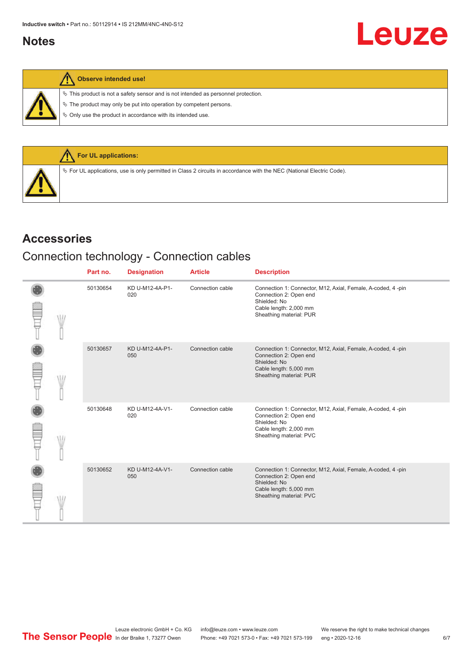## <span id="page-5-0"></span>**Notes**

| N |  | Observe intended use! |  |
|---|--|-----------------------|--|
|---|--|-----------------------|--|

 $\%$  This product is not a safety sensor and is not intended as personnel protection.

 $\&$  The product may only be put into operation by competent persons.

 $\%$  Only use the product in accordance with its intended use.



#### **Accessories**

## Connection technology - Connection cables

|  | Part no. | <b>Designation</b>     | <b>Article</b>   | <b>Description</b>                                                                                                                                          |
|--|----------|------------------------|------------------|-------------------------------------------------------------------------------------------------------------------------------------------------------------|
|  | 50130654 | KD U-M12-4A-P1-<br>020 | Connection cable | Connection 1: Connector, M12, Axial, Female, A-coded, 4 -pin<br>Connection 2: Open end<br>Shielded: No<br>Cable length: 2,000 mm<br>Sheathing material: PUR |
|  | 50130657 | KD U-M12-4A-P1-<br>050 | Connection cable | Connection 1: Connector, M12, Axial, Female, A-coded, 4-pin<br>Connection 2: Open end<br>Shielded: No<br>Cable length: 5,000 mm<br>Sheathing material: PUR  |
|  | 50130648 | KD U-M12-4A-V1-<br>020 | Connection cable | Connection 1: Connector, M12, Axial, Female, A-coded, 4-pin<br>Connection 2: Open end<br>Shielded: No<br>Cable length: 2,000 mm<br>Sheathing material: PVC  |
|  | 50130652 | KD U-M12-4A-V1-<br>050 | Connection cable | Connection 1: Connector, M12, Axial, Female, A-coded, 4-pin<br>Connection 2: Open end<br>Shielded: No<br>Cable length: 5,000 mm<br>Sheathing material: PVC  |

Leuze